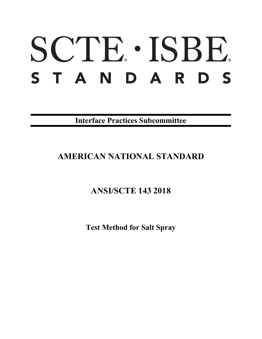# SCTE · ISBE. STANDARDS

**Interface Practices Subcommittee**

# **AMERICAN NATIONAL STANDARD**

# **ANSI/SCTE 143 2018**

**Test Method for Salt Spray**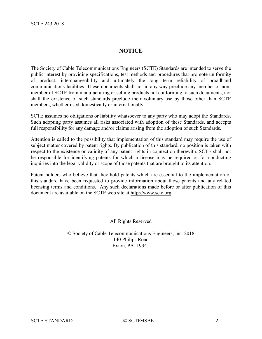# **NOTICE**

The Society of Cable Telecommunications Engineers (SCTE) Standards are intended to serve the public interest by providing specifications, test methods and procedures that promote uniformity of product, interchangeability and ultimately the long term reliability of broadband communications facilities. These documents shall not in any way preclude any member or nonmember of SCTE from manufacturing or selling products not conforming to such documents, nor shall the existence of such standards preclude their voluntary use by those other than SCTE members, whether used domestically or internationally.

SCTE assumes no obligations or liability whatsoever to any party who may adopt the Standards. Such adopting party assumes all risks associated with adoption of these Standards, and accepts full responsibility for any damage and/or claims arising from the adoption of such Standards.

Attention is called to the possibility that implementation of this standard may require the use of subject matter covered by patent rights. By publication of this standard, no position is taken with respect to the existence or validity of any patent rights in connection therewith. SCTE shall not be responsible for identifying patents for which a license may be required or for conducting inquiries into the legal validity or scope of those patents that are brought to its attention.

Patent holders who believe that they hold patents which are essential to the implementation of this standard have been requested to provide information about those patents and any related licensing terms and conditions. Any such declarations made before or after publication of this document are available on the SCTE web site at [http://www.scte.org.](http://www.scte.org/)

All Rights Reserved

© Society of Cable Telecommunications Engineers, Inc. 2018 140 Philips Road Exton, PA 19341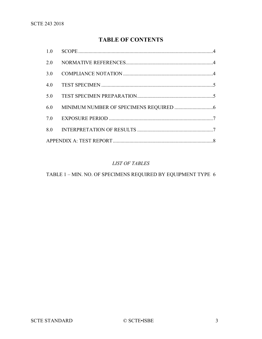# **TABLE OF CONTENTS**

| 2.0 |  |
|-----|--|
| 3.0 |  |
| 4.0 |  |
| 5.0 |  |
| 6.0 |  |
| 7.0 |  |
| 8.0 |  |
|     |  |

## *LIST OF TABLES*

TABLE 1 – [MIN. NO. OF SPECIMENS REQUIRED](#page-5-1) BY EQUIPMENT TYPE 6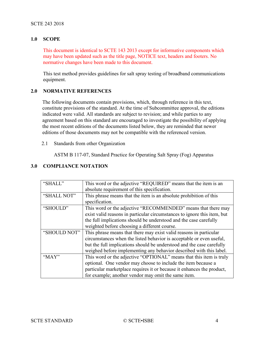#### <span id="page-3-0"></span>**1.0 SCOPE**

This document is identical to SCTE 143 2013 except for informative components which may have been updated such as the title page, NOTICE text, headers and footers. No normative changes have been made to this document.

This test method provides guidelines for salt spray testing of broadband communications equipment.

#### <span id="page-3-1"></span>**2.0 NORMATIVE REFERENCES**

The following documents contain provisions, which, through reference in this text, constitute provisions of the standard. At the time of Subcommittee approval, the editions indicated were valid. All standards are subject to revision; and while parties to any agreement based on this standard are encouraged to investigate the possibility of applying the most recent editions of the documents listed below, they are reminded that newer editions of those documents may not be compatible with the referenced version.

2.1 Standards from other Organization

ASTM B 117-07, Standard Practice for Operating Salt Spray (Fog) Apparatus

| "SHALL"      | This word or the adjective "REQUIRED" means that the item is an          |  |  |
|--------------|--------------------------------------------------------------------------|--|--|
|              | absolute requirement of this specification.                              |  |  |
| "SHALL NOT"  | This phrase means that the item is an absolute prohibition of this       |  |  |
|              | specification.                                                           |  |  |
| "SHOULD"     | This word or the adjective "RECOMMENDED" means that there may            |  |  |
|              | exist valid reasons in particular circumstances to ignore this item, but |  |  |
|              | the full implications should be understood and the case carefully        |  |  |
|              | weighted before choosing a different course.                             |  |  |
| "SHOULD NOT" | This phrase means that there may exist valid reasons in particular       |  |  |
|              | circumstances when the listed behavior is acceptable or even useful,     |  |  |
|              | but the full implications should be understood and the case carefully    |  |  |
|              | weighed before implementing any behavior described with this label.      |  |  |
| " $MAX"$     | This word or the adjective "OPTIONAL" means that this item is truly      |  |  |
|              | optional. One vendor may choose to include the item because a            |  |  |
|              | particular marketplace requires it or because it enhances the product,   |  |  |
|              | for example; another vendor may omit the same item.                      |  |  |

#### <span id="page-3-2"></span>**3.0 COMPLIANCE NOTATION**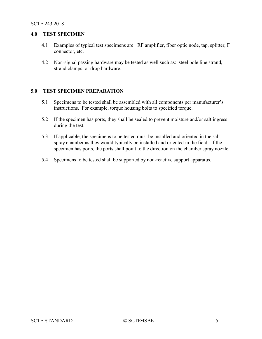#### <span id="page-4-0"></span>**4.0 TEST SPECIMEN**

- 4.1 Examples of typical test specimens are: RF amplifier, fiber optic node, tap, splitter, F connector, etc.
- 4.2 Non-signal passing hardware may be tested as well such as: steel pole line strand, strand clamps, or drop hardware.

#### <span id="page-4-1"></span>**5.0 TEST SPECIMEN PREPARATION**

- 5.1 Specimens to be tested shall be assembled with all components per manufacturer's instructions. For example, torque housing bolts to specified torque.
- 5.2 If the specimen has ports, they shall be sealed to prevent moisture and/or salt ingress during the test.
- 5.3 If applicable, the specimens to be tested must be installed and oriented in the salt spray chamber as they would typically be installed and oriented in the field. If the specimen has ports, the ports shall point to the direction on the chamber spray nozzle.
- 5.4 Specimens to be tested shall be supported by non-reactive support apparatus.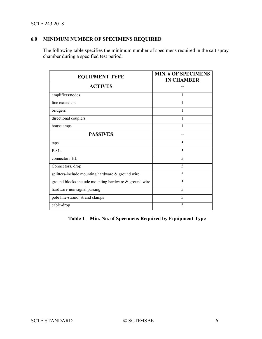#### SCTE 243 2018

# <span id="page-5-0"></span>**6.0 MINIMUM NUMBER OF SPECIMENS REQUIRED**

The following table specifies the minimum number of specimens required in the salt spray chamber during a specified test period:

| <b>EQUIPMENT TYPE</b>                                 | <b>MIN. # OF SPECIMENS</b><br><b>IN CHAMBER</b> |
|-------------------------------------------------------|-------------------------------------------------|
| <b>ACTIVES</b>                                        |                                                 |
| amplifiers/nodes                                      |                                                 |
| line extenders                                        |                                                 |
| bridgers                                              | 1                                               |
| directional couplers                                  | 1                                               |
| house amps                                            | 1                                               |
| <b>PASSIVES</b>                                       |                                                 |
| taps                                                  | 5                                               |
| $F-81s$                                               | 5                                               |
| connectors-HL                                         | 5                                               |
| Connectors, drop                                      | 5                                               |
| splitters-include mounting hardware & ground wire     | 5                                               |
| ground blocks-include mounting hardware & ground wire | 5                                               |
| hardware-non signal passing                           | 5                                               |
| pole line-strand, strand clamps                       | 5                                               |
| cable-drop                                            | 5                                               |

<span id="page-5-1"></span>**Table 1 – Min. No. of Specimens Required by Equipment Type**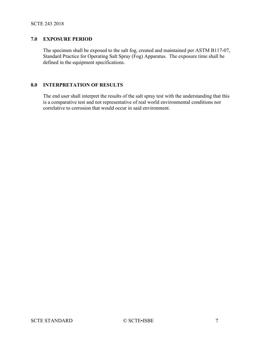#### <span id="page-6-0"></span>**7.0 EXPOSURE PERIOD**

The specimen shall be exposed to the salt fog, created and maintained per ASTM B117-07, Standard Practice for Operating Salt Spray (Fog) Apparatus. The exposure time shall be defined in the equipment specifications.

## <span id="page-6-1"></span>**8.0 INTERPRETATION OF RESULTS**

The end user shall interpret the results of the salt spray test with the understanding that this is a comparative test and not representative of real world environmental conditions nor correlative to corrosion that would occur in said environment.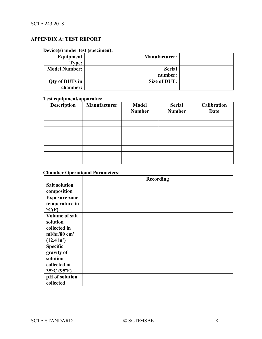## <span id="page-7-0"></span>**APPENDIX A: TEST REPORT**

# **Device(s) under test (specimen):**

| Equipment            | <b>Manufacturer:</b> |  |
|----------------------|----------------------|--|
| Type:                |                      |  |
| <b>Model Number:</b> | <b>Serial</b>        |  |
|                      | number:              |  |
| Qty of DUTs in       | Size of DUT:         |  |
| chamber:             |                      |  |

## **Test equipment/apparatus:**

| <b>Description</b> | <b>Manufacturer</b> | <b>Model</b>  | <b>Serial</b> | Calibration |
|--------------------|---------------------|---------------|---------------|-------------|
|                    |                     | <b>Number</b> | <b>Number</b> | Date        |
|                    |                     |               |               |             |
|                    |                     |               |               |             |
|                    |                     |               |               |             |
|                    |                     |               |               |             |
|                    |                     |               |               |             |
|                    |                     |               |               |             |
|                    |                     |               |               |             |
|                    |                     |               |               |             |

# **Chamber Operational Parameters:**

|                            | Recording |
|----------------------------|-----------|
| <b>Salt solution</b>       |           |
| composition                |           |
| <b>Exposure zone</b>       |           |
| temperature in             |           |
| $\rm ^oC(F)$               |           |
| <b>Volume of salt</b>      |           |
| solution                   |           |
| collected in               |           |
| $ml/hr/80$ cm <sup>2</sup> |           |
| $(12.4 \text{ in}^2)$      |           |
| <b>Specific</b>            |           |
| gravity of                 |           |
| solution                   |           |
| collected at               |           |
| 35°C (95°F)                |           |
| pH of solution             |           |
| collected                  |           |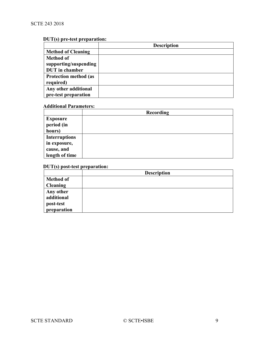# **DUT(s) pre-test preparation:**

|                              | <b>Description</b> |
|------------------------------|--------------------|
| <b>Method of Cleaning</b>    |                    |
| <b>Method of</b>             |                    |
| supporting/suspending        |                    |
| <b>DUT</b> in chamber        |                    |
| <b>Protection method (as</b> |                    |
| required)                    |                    |
| Any other additional         |                    |
| pre-test preparation         |                    |

## **Additional Parameters:**

|                      | <b>Recording</b> |
|----------------------|------------------|
| <b>Exposure</b>      |                  |
| period (in           |                  |
| hours)               |                  |
| <b>Interruptions</b> |                  |
| in exposure,         |                  |
| cause, and           |                  |
| length of time       |                  |

# **DUT(s) post-test preparation:**

|                  | <b>Description</b> |
|------------------|--------------------|
| <b>Method of</b> |                    |
| <b>Cleaning</b>  |                    |
| Any other        |                    |
| additional       |                    |
| post-test        |                    |
| preparation      |                    |